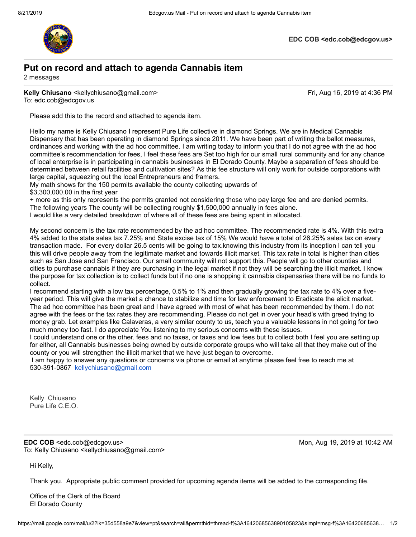

**EDC COB <edc.cob@edcgov.us>**

## **Put on record and attach to agenda Cannabis item**

2 messages

**Kelly Chiusano** <kellychiusano@gmail.com> **Fri, Aug 16, 2019 at 4:36 PM** To: edc.cob@edcgov.us

Please add this to the record and attached to agenda item.

Hello my name is Kelly Chiusano I represent Pure Life collective in diamond Springs. We are in Medical Cannabis Dispensary that has been operating in diamond Springs since 2011. We have been part of writing the ballot measures, ordinances and working with the ad hoc committee. I am writing today to inform you that I do not agree with the ad hoc committee's recommendation for fees, I feel these fees are Set too high for our small rural community and for any chance of local enterprise is in participating in cannabis businesses in El Dorado County. Maybe a separation of fees should be determined between retail facilities and cultivation sites? As this fee structure will only work for outside corporations with large capital, squeezing out the local Entrepreneurs and framers.

My math shows for the 150 permits available the county collecting upwards of

\$3,300,000.00 in the first year

+ more as this only represents the permits granted not considering those who pay large fee and are denied permits. The following years The county will be collecting roughly \$1,500,000 annually in fees alone.

I would like a very detailed breakdown of where all of these fees are being spent in allocated.

My second concern is the tax rate recommended by the ad hoc committee. The recommended rate is 4%. With this extra 4% added to the state sales tax 7.25% and State excise tax of 15% We would have a total of 26.25% sales tax on every transaction made. For every dollar 26.5 cents will be going to tax.knowing this industry from its inception I can tell you this will drive people away from the legitimate market and towards illicit market. This tax rate in total is higher than cities such as San Jose and San Francisco. Our small community will not support this. People will go to other counties and cities to purchase cannabis if they are purchasing in the legal market if not they will be searching the illicit market. I know the purpose for tax collection is to collect funds but if no one is shopping it cannabis dispensaries there will be no funds to collect.

I recommend starting with a low tax percentage, 0.5% to 1% and then gradually growing the tax rate to 4% over a fiveyear period. This will give the market a chance to stabilize and time for law enforcement to Eradicate the elicit market. The ad hoc committee has been great and I have agreed with most of what has been recommended by them. I do not agree with the fees or the tax rates they are recommending. Please do not get in over your head's with greed trying to money grab. Let examples like Calaveras, a very similar county to us, teach you a valuable lessons in not going for two much money too fast. I do appreciate You listening to my serious concerns with these issues.

I could understand one or the other. fees and no taxes, or taxes and low fees but to collect both I feel you are setting up for either, all Cannabis businesses being owned by outside corporate groups who will take all that they make out of the county or you will strengthen the illicit market that we have just began to overcome.

 I am happy to answer any questions or concerns via phone or email at anytime please feel free to reach me at 530-391-0867 [kellychiusano@gmail.com](mailto:kellychiusano@gmail.com)

Kelly Chiusano Pure Life C.E.O.

**EDC COB** <edc.cob@edcgov.us> Mon, Aug 19, 2019 at 10:42 AM To: Kelly Chiusano <kellychiusano@gmail.com>

Hi Kelly,

Thank you. Appropriate public comment provided for upcoming agenda items will be added to the corresponding file.

Office of the Clerk of the Board El Dorado County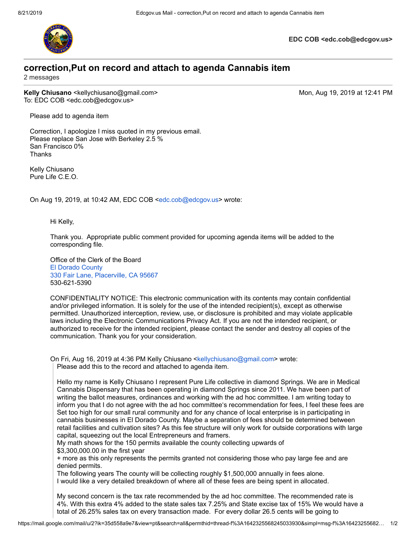

**EDC COB <edc.cob@edcgov.us>**

## **correction,Put on record and attach to agenda Cannabis item**

2 messages

**Kelly Chiusano** <kellychiusano@gmail.com> Mon, Aug 19, 2019 at 12:41 PM To: EDC COB <edc.cob@edcgov.us>

Please add to agenda item

Correction, I apologize I miss quoted in my previous email. Please replace San Jose with Berkeley 2.5 % San Francisco 0% Thanks

Kelly Chiusano Pure Life C.E.O.

On Aug 19, 2019, at 10:42 AM, EDC COB <[edc.cob@edcgov.us>](mailto:edc.cob@edcgov.us) wrote:

Hi Kelly,

Thank you. Appropriate public comment provided for upcoming agenda items will be added to the corresponding file.

Office of the Clerk of the Board [El Dorado County](https://www.google.com/maps/search/El+Dorado+County+330+Fair+Lane,+Placerville,+CA+95667?entry=gmail&source=g) [330 Fair Lane, Placerville, CA 95667](https://www.google.com/maps/search/El+Dorado+County+330+Fair+Lane,+Placerville,+CA+95667?entry=gmail&source=g) 530-621-5390

CONFIDENTIALITY NOTICE: This electronic communication with its contents may contain confidential and/or privileged information. It is solely for the use of the intended recipient(s), except as otherwise permitted. Unauthorized interception, review, use, or disclosure is prohibited and may violate applicable laws including the Electronic Communications Privacy Act. If you are not the intended recipient, or authorized to receive for the intended recipient, please contact the sender and destroy all copies of the communication. Thank you for your consideration.

On Fri, Aug 16, 2019 at 4:36 PM Kelly Chiusano <[kellychiusano@gmail.com](mailto:kellychiusano@gmail.com)> wrote: Please add this to the record and attached to agenda item.

Hello my name is Kelly Chiusano I represent Pure Life collective in diamond Springs. We are in Medical Cannabis Dispensary that has been operating in diamond Springs since 2011. We have been part of writing the ballot measures, ordinances and working with the ad hoc committee. I am writing today to inform you that I do not agree with the ad hoc committee's recommendation for fees, I feel these fees are Set too high for our small rural community and for any chance of local enterprise is in participating in cannabis businesses in El Dorado County. Maybe a separation of fees should be determined between retail facilities and cultivation sites? As this fee structure will only work for outside corporations with large capital, squeezing out the local Entrepreneurs and framers.

My math shows for the 150 permits available the county collecting upwards of

\$3,300,000.00 in the first year

+ more as this only represents the permits granted not considering those who pay large fee and are denied permits.

The following years The county will be collecting roughly \$1,500,000 annually in fees alone. I would like a very detailed breakdown of where all of these fees are being spent in allocated.

My second concern is the tax rate recommended by the ad hoc committee. The recommended rate is 4%. With this extra 4% added to the state sales tax 7.25% and State excise tax of 15% We would have a total of 26.25% sales tax on every transaction made. For every dollar 26.5 cents will be going to